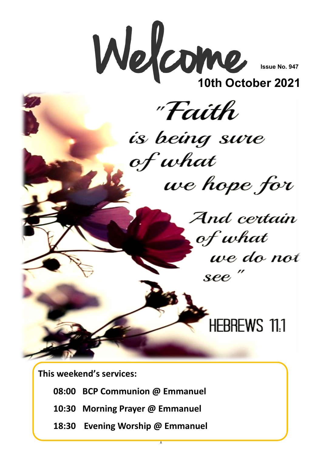

**Issue No. 947**

**10th October 2021**



**This weekend's services:**

- **08:00 BCP Communion @ Emmanuel**
- **10:30 Morning Prayer @ Emmanuel**
- **18:30 Evening Worship @ Emmanuel**

1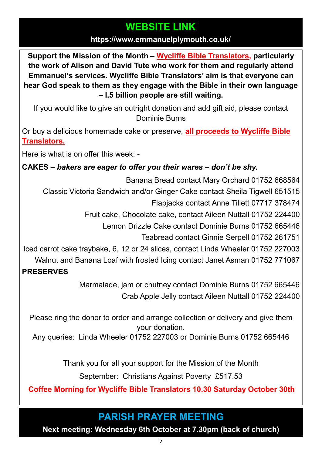### **WEBSITE LINK**

#### **https://www.emmanuelplymouth.co.uk/**

**Support the Mission of the Month – [Wycliffe Bible Translators,](https://www.wycliffe.org.uk/about/our-story/) particularly the work of Alison and David Tute who work for them and regularly attend Emmanuel's services. Wycliffe Bible Translators' aim is that everyone can hear God speak to them as they engage with the Bible in their own language – I.5 billion people are still waiting.** 

If you would like to give an outright donation and add gift aid, please contact Dominie Burns

Or buy a delicious homemade cake or preserve, **[all proceeds to Wycliffe Bible](https://www.wycliffe.org.uk/about/our-story/)  [Translators.](https://www.wycliffe.org.uk/about/our-story/)**

Here is what is on offer this week: -

### **CAKES –** *bakers are eager to offer you their wares – don't be shy.*

Banana Bread contact Mary Orchard 01752 668564 Classic Victoria Sandwich and/or Ginger Cake contact Sheila Tigwell 651515

Flapjacks contact Anne Tillett 07717 378474

Fruit cake, Chocolate cake, contact Aileen Nuttall 01752 224400

Lemon Drizzle Cake contact Dominie Burns 01752 665446

Teabread contact Ginnie Serpell 01752 261751

Iced carrot cake traybake, 6, 12 or 24 slices, contact Linda Wheeler 01752 227003

Walnut and Banana Loaf with frosted Icing contact Janet Asman 01752 771067

### **PRESERVES**

Marmalade, jam or chutney contact Dominie Burns 01752 665446 Crab Apple Jelly contact Aileen Nuttall 01752 224400

Please ring the donor to order and arrange collection or delivery and give them your donation.

Any queries: Linda Wheeler 01752 227003 or Dominie Burns 01752 665446

Thank you for all your support for the Mission of the Month

September: Christians Against Poverty £517.53

**Coffee Morning for Wycliffe Bible Translators 10.30 Saturday October 30th**

## **PARISH PRAYER MEETING**

**Next meeting: Wednesday 6th October at 7.30pm (back of church)**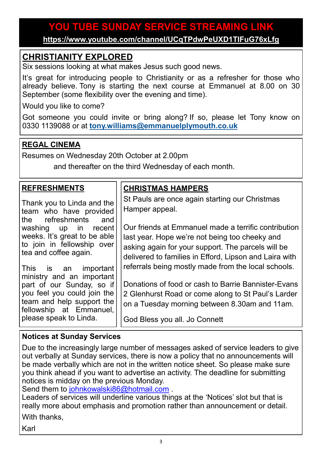### **YOU TUBE SUNDAY SERVICE STREAMING LINK**

**<https://www.youtube.com/channel/UCqTPdwPeUXD1TIFuG76xLfg>**

### **CHRISTIANITY EXPLORED**

Six sessions looking at what makes Jesus such good news.

It's great for introducing people to Christianity or as a refresher for those who already believe. Tony is starting the next course at Emmanuel at 8.00 on 30 September (some flexibility over the evening and time).

Would you like to come?

Got someone you could invite or bring along? If so, please let Tony know on 0330 1139088 or at **[tony.williams@emmanuelplymouth.co.uk](mailto:tony.williams@emmanuelplymouth.co.uk)**

### **REGAL CINEMA**

Resumes on Wednesday 20th October at 2.00pm

and thereafter on the third Wednesday of each month.

| <b>REFRESHMENTS</b>                                                                                                                                                                                                                                                                                                                                                                            | <b>CHRISTMAS HAMPERS</b>                                                                                                                                                                                                                                                                                                                                                                                                                                                                                                                         |
|------------------------------------------------------------------------------------------------------------------------------------------------------------------------------------------------------------------------------------------------------------------------------------------------------------------------------------------------------------------------------------------------|--------------------------------------------------------------------------------------------------------------------------------------------------------------------------------------------------------------------------------------------------------------------------------------------------------------------------------------------------------------------------------------------------------------------------------------------------------------------------------------------------------------------------------------------------|
| Thank you to Linda and the<br>team who have provided<br>the refreshments and<br>washing up in recent<br>weeks. It's great to be able<br>to join in fellowship over<br>tea and coffee again.<br>This is an important<br>ministry and an important<br>part of our Sunday, so if<br>you feel you could join the<br>team and help support the<br>fellowship at Emmanuel,<br>please speak to Linda. | St Pauls are once again starting our Christmas<br>Hamper appeal.<br>Our friends at Emmanuel made a terrific contribution<br>last year. Hope we're not being too cheeky and<br>asking again for your support. The parcels will be<br>delivered to families in Efford, Lipson and Laira with<br>referrals being mostly made from the local schools.<br>Donations of food or cash to Barrie Bannister-Evans<br>2 Glenhurst Road or come along to St Paul's Larder<br>on a Tuesday morning between 8.30am and 11am.<br>God Bless you all. Jo Connett |

#### **Notices at Sunday Services**

Due to the increasingly large number of messages asked of service leaders to give out verbally at Sunday services, there is now a policy that no announcements will be made verbally which are not in the written notice sheet. So please make sure you think ahead if you want to advertise an activity. The deadline for submitting notices is midday on the previous Monday.

Send them to [johnkowalski86@hotmail.com](mailto:johnkowalski86@hotmail.com)

Leaders of services will underline various things at the 'Notices' slot but that is really more about emphasis and promotion rather than announcement or detail.

With thanks,

Karl